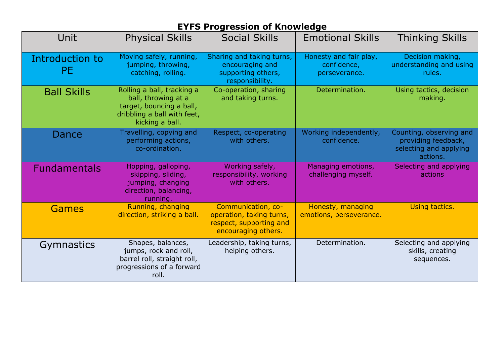## **EYFS Progression of Knowledge**

| Unit                         | <b>Physical Skills</b>                                                                                                          | <b>Social Skills</b>                                                                             | <b>Emotional Skills</b>                                | <b>Thinking Skills</b>                                                               |
|------------------------------|---------------------------------------------------------------------------------------------------------------------------------|--------------------------------------------------------------------------------------------------|--------------------------------------------------------|--------------------------------------------------------------------------------------|
| Introduction to<br><b>PE</b> | Moving safely, running,<br>jumping, throwing,<br>catching, rolling.                                                             | Sharing and taking turns,<br>encouraging and<br>supporting others,<br>responsibility.            | Honesty and fair play,<br>confidence,<br>perseverance. | Decision making,<br>understanding and using<br>rules.                                |
| <b>Ball Skills</b>           | Rolling a ball, tracking a<br>ball, throwing at a<br>target, bouncing a ball,<br>dribbling a ball with feet,<br>kicking a ball. | Co-operation, sharing<br>and taking turns.                                                       | Determination.                                         | Using tactics, decision<br>making.                                                   |
| Dance                        | Travelling, copying and<br>performing actions,<br>co-ordination.                                                                | Respect, co-operating<br>with others.                                                            | Working independently,<br>confidence.                  | Counting, observing and<br>providing feedback,<br>selecting and applying<br>actions. |
| <b>Fundamentals</b>          | Hopping, galloping,<br>skipping, sliding,<br>jumping, changing<br>direction, balancing,<br>running.                             | Working safely,<br>responsibility, working<br>with others.                                       | Managing emotions,<br>challenging myself.              | Selecting and applying<br>actions                                                    |
| Games                        | Running, changing<br>direction, striking a ball.                                                                                | Communication, co-<br>operation, taking turns,<br>respect, supporting and<br>encouraging others. | Honesty, managing<br>emotions, perseverance.           | Using tactics.                                                                       |
| <b>Gymnastics</b>            | Shapes, balances,<br>jumps, rock and roll,<br>barrel roll, straight roll,<br>progressions of a forward<br>roll.                 | Leadership, taking turns,<br>helping others.                                                     | Determination.                                         | Selecting and applying<br>skills, creating<br>sequences.                             |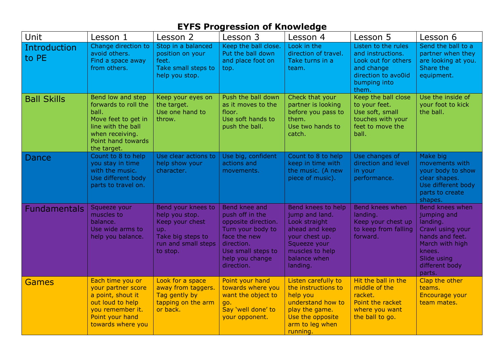## **EYFS Progression of Knowledge**

| Unit                  | Lesson 1                                                                                                                                                | Lesson 2                                                                                                               | Lesson 3                                                                                                                                                          | Lesson 4                                                                                                                                                 | Lesson 5                                                                                                                      | Lesson 6                                                                                                                                                  |
|-----------------------|---------------------------------------------------------------------------------------------------------------------------------------------------------|------------------------------------------------------------------------------------------------------------------------|-------------------------------------------------------------------------------------------------------------------------------------------------------------------|----------------------------------------------------------------------------------------------------------------------------------------------------------|-------------------------------------------------------------------------------------------------------------------------------|-----------------------------------------------------------------------------------------------------------------------------------------------------------|
| Introduction<br>to PE | Change direction to<br>avoid others.<br>Find a space away<br>from others.                                                                               | Stop in a balanced<br>position on your<br>feet.<br>Take small steps to<br>help you stop.                               | Keep the ball close.<br>Put the ball down<br>and place foot on<br>top.                                                                                            | Look in the<br>direction of travel.<br>Take turns in a<br>team.                                                                                          | Listen to the rules<br>and instructions.<br>Look out for others<br>and change<br>direction to avo0id<br>bumping into<br>them. | Send the ball to a<br>partner when they<br>are looking at you.<br>Share the<br>equipment.                                                                 |
| <b>Ball Skills</b>    | Bend low and step<br>forwards to roll the<br>ball.<br>Move feet to get in<br>line with the ball<br>when receiving.<br>Point hand towards<br>the target. | Keep your eyes on<br>the target.<br>Use one hand to<br>throw.                                                          | Push the ball down<br>as it moves to the<br>floor.<br>Use soft hands to<br>push the ball.                                                                         | Check that your<br>partner is looking<br>before you pass to<br>them.<br>Use two hands to<br>catch.                                                       | Keep the ball close<br>to your feet.<br>Use soft, small<br>touches with your<br>feet to move the<br>ball.                     | Use the inside of<br>your foot to kick<br>the ball.                                                                                                       |
| Dance                 | Count to 8 to help<br>you stay in time<br>with the music.<br>Use different body<br>parts to travel on.                                                  | Use clear actions to<br>help show your<br>character.                                                                   | Use big, confident<br>actions and<br>movements.                                                                                                                   | Count to 8 to help<br>keep in time with<br>the music. (A new<br>piece of music).                                                                         | Use changes of<br>direction and level<br>in your<br>performance.                                                              | Make big<br>movements with<br>your body to show<br>clear shapes.<br>Use different body<br>parts to create<br>shapes.                                      |
| <b>Fundamentals</b>   | Squeeze your<br>muscles to<br>balance.<br>Use wide arms to<br>help you balance.                                                                         | Bend your knees to<br>help you stop.<br>Keep your chest<br>up.<br>Take big steps to<br>run and small steps<br>to stop. | Bend knee and<br>push off in the<br>opposite direction.<br>Turn your body to<br>face the new<br>direction.<br>Use small steps to<br>help you change<br>direction. | Bend knees to help<br>jump and land.<br>Look straight<br>ahead and keep<br>your chest up.<br>Squeeze your<br>muscles to help<br>balance when<br>landing. | <b>Bend knees when</b><br>landing.<br>Keep your chest up<br>to keep from falling<br>forward.                                  | Bend knees when<br>jumping and<br>landing.<br>Crawl using your<br>hands and feet.<br>March with high<br>knees.<br>Slide using<br>different body<br>parts. |
| <b>Games</b>          | Each time you or<br>your partner score<br>a point, shout it<br>out loud to help<br>you remember it.<br>Point your hand<br>towards where you             | Look for a space<br>away from taggers.<br>Tag gently by<br>tapping on the arm<br>or back.                              | Point your hand<br>towards where you<br>want the object to<br>go.<br>Say 'well done' to<br>your opponent.                                                         | Listen carefully to<br>the instructions to<br>help you<br>understand how to<br>play the game.<br>Use the opposite<br>arm to leg when<br>running.         | Hit the ball in the<br>middle of the<br>racket.<br>Point the racket<br>where you want<br>the ball to go.                      | Clap the other<br>teams.<br>Encourage your<br>team mates.                                                                                                 |